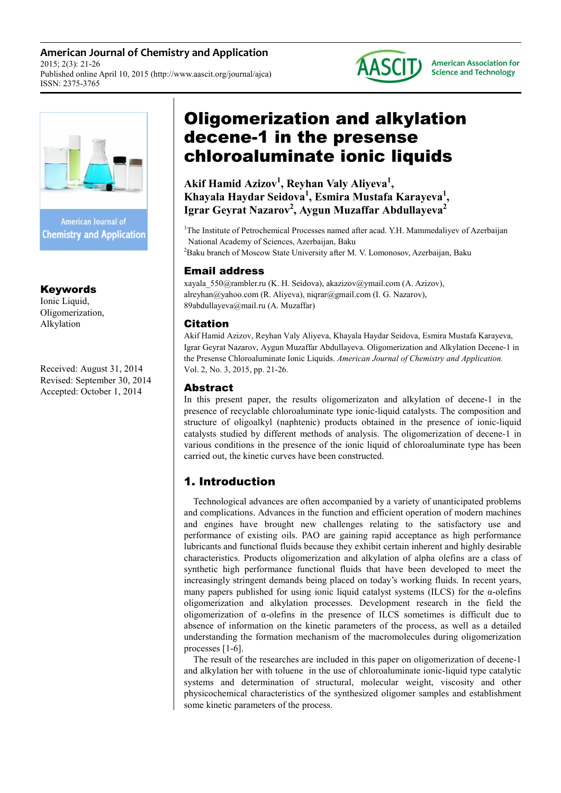**American Journal of Chemistry and Application**  2015; 2(3): 21-26 Published online April 10, 2015 (http://www.aascit.org/journal/ajca) ISSN: 2375-3765



**American Association for Science and Technology** 



**Chemistry and Application** 

# Keywords

Ionic Liquid, Oligomerization, Alkylation

Received: August 31, 2014 Revised: September 30, 2014 Accepted: October 1, 2014

# Oligomerization and alkylation decene-1 in the presense chloroaluminate ionic liquids

**Akif Hamid Azizov<sup>1</sup> , Reyhan Valy Aliyeva<sup>1</sup> , Khayala Haydar Seidova<sup>1</sup> , Esmira Mustafa Karayeva<sup>1</sup> , Igrar Geyrat Nazarov<sup>2</sup> , Aygun Muzaffar Abdullayeva<sup>2</sup>**

<sup>1</sup>The Institute of Petrochemical Processes named after acad. Y.H. Mammedaliyev of Azerbaijan National Academy of Sciences, Azerbaijan, Baku <sup>2</sup>Baku branch of Moscow State University after M. V. Lomonosov, Azerbaijan, Baku

## Email address

xayala\_550@rambler.ru (K. H. Seidova), akazizov@ymail.com (A. Azizov), alreyhan@yahoo.com (R. Aliyeva), niqrar@gmail.com (I. G. Nazarov), 89abdullayeva@mail.ru (A. Muzaffar)

### Citation

Akif Hamid Azizov, Reyhan Valy Aliyeva, Khayala Haydar Seidova, Esmira Mustafa Karayeva, Igrar Geyrat Nazarov, Aygun Muzaffar Abdullayeva. Oligomerization and Alkylation Decene-1 in the Presense Chloroaluminate Ionic Liquids. *American Journal of Chemistry and Application.* Vol. 2, No. 3, 2015, pp. 21-26.

# Abstract

In this present paper, the results oligomerizaton and alkylation of decene-1 in the presence of recyclable chloroaluminate type ionic-liquid catalysts. The composition and structure of oligoalkyl (naphtenic) products obtained in the presence of ionic-liquid catalysts studied by different methods of analysis. The oligomerization of decene-1 in various conditions in the presence of the ionic liquid of chloroaluminate type has been carried out, the kinetic curves have been constructed.

# 1. Introduction

Technological advances are often accompanied by a variety of unanticipated problems and complications. Advances in the function and efficient operation of modern machines and engines have brought new challenges relating to the satisfactory use and performance of existing oils. PAO are gaining rapid acceptance as high performance lubricants and functional fluids because they exhibit certain inherent and highly desirable characteristics. Products oligomerization and alkylation of alpha olefins are a class of synthetic high performance functional fluids that have been developed to meet the increasingly stringent demands being placed on today's working fluids. In recent years, many papers published for using ionic liquid catalyst systems (ILCS) for the  $\alpha$ -olefins oligomerization and alkylation processes. Development research in the field the oligomerization of α-olefins in the presence of ILCS sometimes is difficult due to absence of information on the kinetic parameters of the process, as well as a detailed understanding the formation mechanism of the macromolecules during oligomerization processes [1-6].

The result of the researches are included in this paper on oligomerization of decene-1 and alkylation her with toluene in the use of chloroaluminate ionic-liquid type catalytic systems and determination of structural, molecular weight, viscosity and other physicochemical characteristics of the synthesized oligomer samples and establishment some kinetic parameters of the process.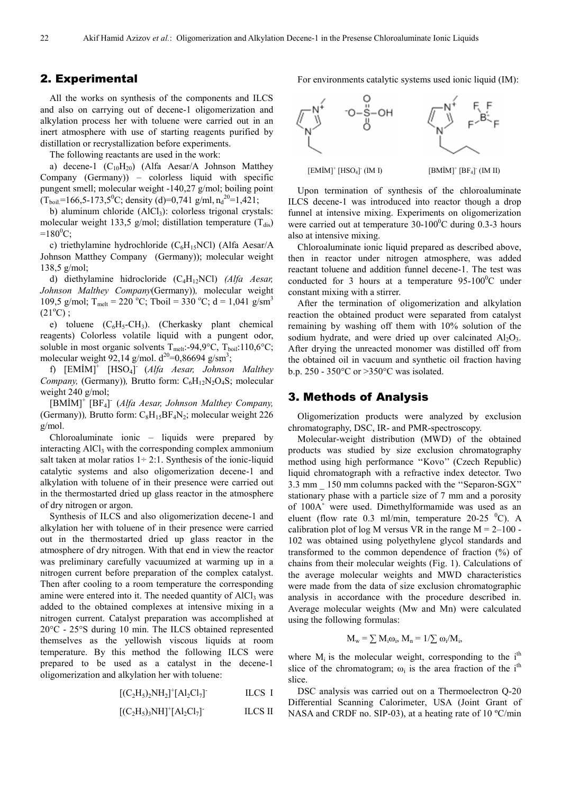#### 2. Experimental

All the works on synthesis of the components and ILCS and also on carrying out of decene-1 oligomerization and alkylation process her with toluene were carried out in an inert atmosphere with use of starting reagents purified by distillation or recrystallization before experiments.

The following reactants are used in the work:

a) decene-1  $(C_{10}H_{20})$  (Alfa Aesar/A Johnson Matthey Company (Germany)) – colorless liquid with specific pungent smell; molecular weight -140,27 g/mol; boiling point  $(T_{\text{boil}}=166, 5-173, 5^0C;$  density (d)=0,741 g/ml,  $n_d^{20}=1,421;$ 

b) aluminum chloride (AlCl<sub>3</sub>): colorless trigonal crystals: molecular weight 133,5 g/mol; distillation temperature  $(T_{dis})$  $=180^{\circ}$ C;

c) triethylamine hydrochloride ( $C_6H_1SNCl$ ) (Alfa Aesar/A Johnson Matthey Company (Germany)); molecular weight 138,5 g/mol;

d) diethylamine hidrocloride (С4Н12NСl) *(Alfa Aesar, Johnson Malthey Company*(Germany))*,* molecular weight 109,5 g/mol; T<sub>melt</sub> = 220 °C; Tboil = 330 °C; d = 1,041 g/sm<sup>3</sup>  $(21^{\circ}C)$ ;

e) toluene  $(C_6H_5-CH_3)$ . (Cherkasky plant chemical reagents) Colorless volatile liquid with a pungent odor, soluble in most organic solvents  $T_{melt}$ :-94,9°C,  $T_{boil}$ :110,6°C; molecular weight 92,14 g/mol.  $d^{20}=0,86694$  g/sm<sup>3</sup>;

f) [EMİM]<sup>+</sup> [HSO4] - (*Alfa Aesar, Johnson Malthey Company,* (Germany)), Brutto form: C<sub>6</sub>H<sub>12</sub>N<sub>2</sub>O<sub>4</sub>S; molecular weight 240 g/mol;

[BMİM]<sup>+</sup> [BF4] - (*Alfa Aesar, Johnson Malthey Company,* (Germany)), Brutto form:  $C_8H_{15}BF_4N_2$ ; molecular weight 226 g/mol.

Chloroaluminate ionic – liquids were prepared by interacting  $AICI<sub>3</sub>$  with the corresponding complex ammonium salt taken at molar ratios  $1 \div 2$ :1. Synthesis of the ionic-liquid catalytic systems and also oligomerization decene-1 and alkylation with toluene of in their presence were carried out in the thermostarted dried up glass reactor in the atmosphere of dry nitrogen or argon.

Synthesis of ILCS and also oligomerization decene-1 and alkylation her with toluene of in their presence were carried out in the thermostarted dried up glass reactor in the atmosphere of dry nitrogen. With that end in view the reactor was preliminary carefully vacuumized at warming up in a nitrogen current before preparation of the complex catalyst. Then after cooling to a room temperature the corresponding amine were entered into it. The needed quantity of  $AICI<sub>3</sub>$  was added to the obtained complexes at intensive mixing in a nitrogen current. Catalyst preparation was accomplished at 20°C - 25°S during 10 min. The ILCS obtained represented themselves as the yellowish viscous liquids at room temperature. By this method the following ILCS were prepared to be used as a catalyst in the decene-1 oligomerization and alkylation her with toluene:

$$
[(C_2H_5)_2NH_2]^+[Al_2Cl_7] \qquad \qquad \text{ILCS I}
$$

$$
[(C_2H_5)_3NH]^+[Al_2Cl_7]
$$
 ILCS II

For environments catalytic systems used ionic liquid (IM):



Upon termination of synthesis of the chloroaluminate ILCS decene-1 was introduced into reactor though a drop funnel at intensive mixing. Experiments on oligomerization were carried out at temperature  $30-100^{\circ}$ C during 0.3-3 hours also at intensive mixing.

Chloroaluminate ionic liquid prepared as described above, then in reactor under nitrogen atmosphere, was added reactant toluene and addition funnel decene-1. The test was conducted for 3 hours at a temperature  $95-100^{\circ}$ C under constant mixing with a stirrer.

After the termination of oligomerization and alkylation reaction the obtained product were separated from catalyst remaining by washing off them with 10% solution of the sodium hydrate, and were dried up over calcinated  $Al_2O_3$ . After drying the unreacted monomer was distilled off from the obtained oil in vacuum and synthetic oil fraction having b.p. 250 - 350°C or >350°C was isolated.

#### 3. Methods of Analysis

Oligomerization products were analyzed by exclusion chromatography, DSC, IR- and PMR-spectroscopy.

Molecular-weight distribution (MWD) of the obtained products was studied by size exclusion chromatography method using high performance ''Kovo'' (Czech Republic) liquid chromatograph with a refractive index detector. Two 3.3 mm \_ 150 mm columns packed with the ''Separon-SGX'' stationary phase with a particle size of 7 mm and a porosity of 100A˚ were used. Dimethylformamide was used as an eluent (flow rate 0.3 ml/min, temperature 20-25  $\textdegree$ C). A calibration plot of log M versus VR in the range  $M = 2-100$ . 102 was obtained using polyethylene glycol standards and transformed to the common dependence of fraction (%) of chains from their molecular weights (Fig. 1). Calculations of the average molecular weights and MWD characteristics were made from the data of size exclusion chromatographic analysis in accordance with the procedure described in. Average molecular weights (Mw and Mn) were calculated using the following formulas:

$$
M_w = \sum M_i \omega_i, M_n = 1/\sum \omega_i / M_i,
$$

where  $M_i$  is the molecular weight, corresponding to the i<sup>th</sup> slice of the chromatogram;  $\omega_i$  is the area fraction of the i<sup>th</sup> slice.

DSC analysis was carried out on a Thermoelectron Q-20 Differential Scanning Calorimeter, USA (Joint Grant of NASA and CRDF no. SIP-03), at a heating rate of 10 °C/min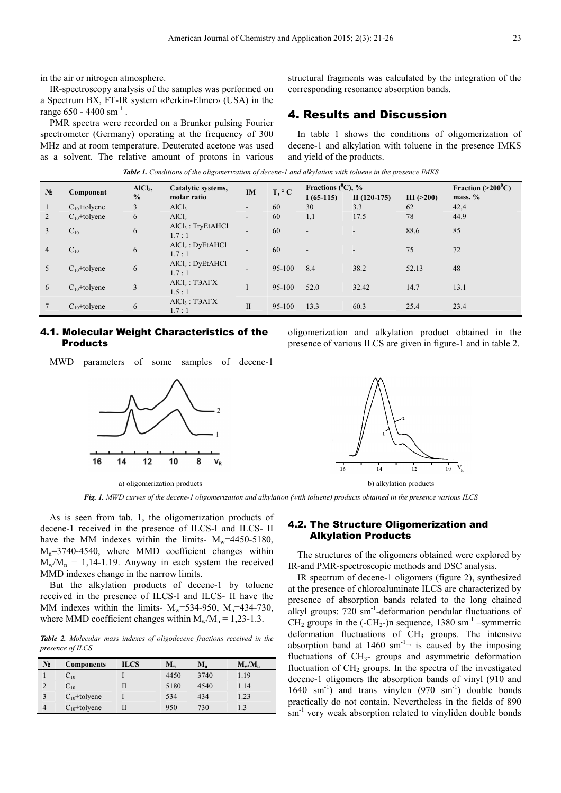in the air or nitrogen atmosphere.

IR-spectroscopy analysis of the samples was performed on a Spectrum ВХ, FT-IR system «Perkin-Elmer» (USA) in the range  $650 - 4400$  sm<sup>-1</sup>.

PMR spectra were recorded on a Brunker pulsing Fourier spectrometer (Germany) operating at the frequency of 300 MHz and at room temperature. Deuterated acetone was used as a solvent. The relative amount of protons in various structural fragments was calculated by the integration of the corresponding resonance absorption bands.

## 4. Results and Discussion

In table 1 shows the conditions of oligomerization of decene-1 and alkylation with toluene in the presence IMKS and yield of the products.

|                | Component         | $AICI3$ ,<br>$\frac{0}{0}$ | Catalytic systems,<br>molar ratio         | <b>IM</b>                | $T, \circ C$ | Fractions $(^0C)$ , %    |               |                  | Fraction $(>200^{\circ}C)$ |
|----------------|-------------------|----------------------------|-------------------------------------------|--------------------------|--------------|--------------------------|---------------|------------------|----------------------------|
| N <sub>2</sub> |                   |                            |                                           |                          |              | $1(65-115)$              | $II(120-175)$ | III $($ >200 $)$ | mass. $%$                  |
|                | $C_{10}$ +tolyene | 3                          | AICl <sub>3</sub>                         | ۰.                       | 60           | 30                       | 3.3           | 62               | 42,4                       |
| $\overline{2}$ | $C_{10}$ +tolyene | 6                          | AICl <sub>3</sub>                         | ۰.                       | 60           | 1,1                      | 17.5          | 78               | 44.9                       |
| 3              | $C_{10}$          | 6                          | $AICl3$ : TryEtAHCl<br>1.7:1              | $\overline{\phantom{a}}$ | 60           | $\overline{\phantom{a}}$ | $\sim$        | 88,6             | 85                         |
| $\overline{4}$ | $C_{10}$          | 6                          | $AICI3$ : DyEtAHCl<br>1.7:1               | $\overline{\phantom{a}}$ | 60           | $\overline{\phantom{a}}$ |               | 75               | 72                         |
| 5              | $C_{10}$ +tolyene | 6                          | $AICI3$ : DyEtAHCl<br>1.7:1               | ۰.                       | 95-100       | 8.4                      | 38.2          | 52.13            | 48                         |
| 6              | $C_{10}$ +tolyene | 3                          | $AICI3$ : T $\overline{A}ATX$<br>1.5:1    |                          | 95-100       | 52.0                     | 32.42         | 14.7             | 13.1                       |
|                | $C_{10}$ +tolyene | 6                          | $AICl3$ : T $\partial A\Gamma X$<br>1.7:1 | $\mathbf{I}$             | 95-100       | 13.3                     | 60.3          | 25.4             | 23.4                       |

*Table 1. Conditions of the oligomerization of decene-1 and alkylation with toluene in the presence IMKS* 

#### 4.1. Molecular Weight Characteristics of the Products

MWD parameters of some samples of decene-1



a) oligomerization products b) alkylation products

oligomerization and alkylation product obtained in the presence of various ILCS are given in figure-1 and in table 2.



*Fig. 1. MWD curves of the decene-1 oligomerization and alkylation (with toluene) products obtained in the presence various ILCS* 

As is seen from tab. 1, the oligomerization products of decene-1 received in the presence of ILCS-I and ILCS- II have the MM indexes within the limits-  $M_w$ =4450-5180,  $M_n$ =3740-4540, where MMD coefficient changes within  $M_w/M_n = 1,14-1,19$ . Anyway in each system the received MMD indexes change in the narrow limits.

But the alkylation products of decene-1 by toluene received in the presence of ILCS-I and ILCS- II have the MM indexes within the limits-  $M_w = 534-950$ ,  $M_n = 434-730$ , where MMD coefficient changes within  $M_w/M_n = 1,23-1.3$ .

*Table 2. Molecular mass indexes of oligodecene fractions received in the presence of ILCS* 

| $N_2$ | <b>Components</b> | ILCS | $M_{w}$ | $M_n$ | $M_w/M_n$ |
|-------|-------------------|------|---------|-------|-----------|
|       | $C_{10}$          |      | 4450    | 3740  | 1.19      |
|       | $C_{10}$          |      | 5180    | 4540  | 1.14      |
|       | $C_{10}$ +tolyene |      | 534     | 434   | 1.23      |
| 4     | $C_{10}$ +tolyene |      | 950     | 730   |           |

#### 4.2. The Structure Oligomerization and Alkylation Products

The structures of the oligomers obtained were explored by IR-and PMR-spectroscopic methods and DSC analysis.

IR spectrum of decene-1 oligomers (figure 2), synthesized at the presence of chloroaluminate ILCS are characterized by presence of absorption bands related to the long chained alkyl groups: 720 sm<sup>-1</sup>-deformation pendular fluctuations of  $CH<sub>2</sub>$  groups in the (-CH<sub>2</sub>-)n sequence, 1380 sm<sup>-1</sup> –symmetric deformation fluctuations of  $CH<sub>3</sub>$  groups. The intensive absorption band at  $1460 \text{ sm}^{-1}$  is caused by the imposing fluctuations of  $CH<sub>3</sub>$ - groups and asymmetric deformation fluctuation of  $CH<sub>2</sub>$  groups. In the spectra of the investigated decene-1 oligomers the absorption bands of vinyl (910 and 1640 sm<sup>-1</sup>) and trans vinylen  $(970 \text{ sm}^{-1})$  double bonds practically do not contain. Nevertheless in the fields of 890 sm<sup>-1</sup> very weak absorption related to vinyliden double bonds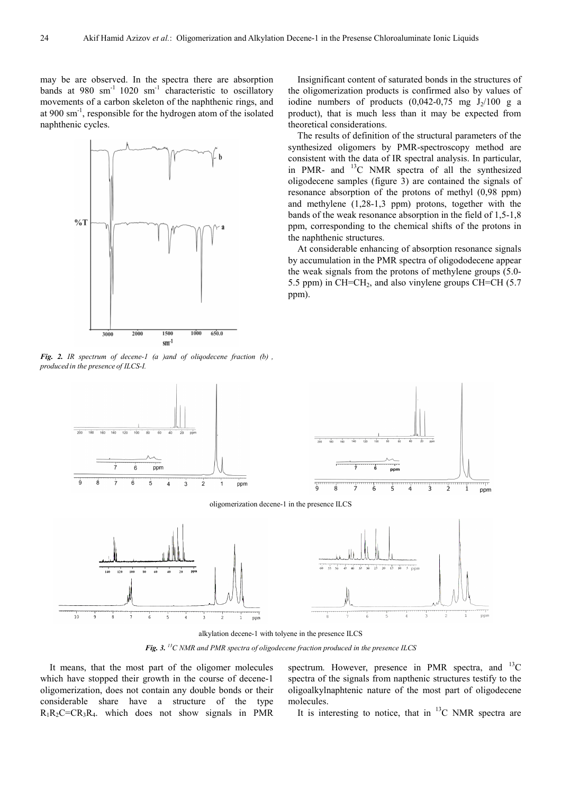may be are observed. In the spectra there are absorption bands at  $980 \text{ sm}^{-1}$   $1020 \text{ sm}^{-1}$  characteristic to oscillatory movements of a carbon skeleton of the naphthenic rings, and at 900 sm-1, responsible for the hydrogen atom of the isolated naphthenic cycles.



*Fig. 2. IR spectrum of decene-1 (а )and of oliqodecene fraction (b) , produced in the presence of ILCS-I.* 

Insignificant content of saturated bonds in the structures of the oligomerization products is confirmed also by values of iodine numbers of products  $(0.042-0.75 \text{ mg } J_2/100 \text{ g a})$ product), that is much less than it may be expected from theoretical considerations.

The results of definition of the structural parameters of the synthesized oligomers by PMR-spectroscopy method are consistent with the data of IR spectral analysis. In particular, in PMR- and  $^{13}$ C NMR spectra of all the synthesized oligodecene samples (figure 3) are contained the signals of resonance absorption of the protons of methyl (0,98 ppm) and methylene (1,28-1,3 ppm) protons, together with the bands of the weak resonance absorption in the field of 1,5-1,8 ppm, corresponding to the chemical shifts of the protons in the naphthenic structures.

At considerable enhancing of absorption resonance signals by accumulation in the PMR spectra of oligododecene appear the weak signals from the protons of methylene groups (5.0- 5.5 ppm) in  $CH=CH<sub>2</sub>$ , and also vinylene groups  $CH=CH$  (5.7) ppm).



oligomerization decene-1 in the presence ILCS



alkylation decene-1 with tolyene in the presence ILCS

*Fig. 3. <sup>13</sup>С NMR and PMR spectra of oligodecene fraction produced in the presence ILCS* 

It means, that the most part of the oligomer molecules which have stopped their growth in the course of decene-1 oligomerization, does not contain any double bonds or their considerable share have a structure of the type  $R_1R_2C=CR_3R_4$ . which does not show signals in PMR spectrum. However, presence in PMR spectra, and  ${}^{13}C$ spectra of the signals from napthenic structures testify to the oligoalkylnaphtenic nature of the most part of oligodecene molecules.

יד<br>2

ppm

It is interesting to notice, that in  $^{13}$ C NMR spectra are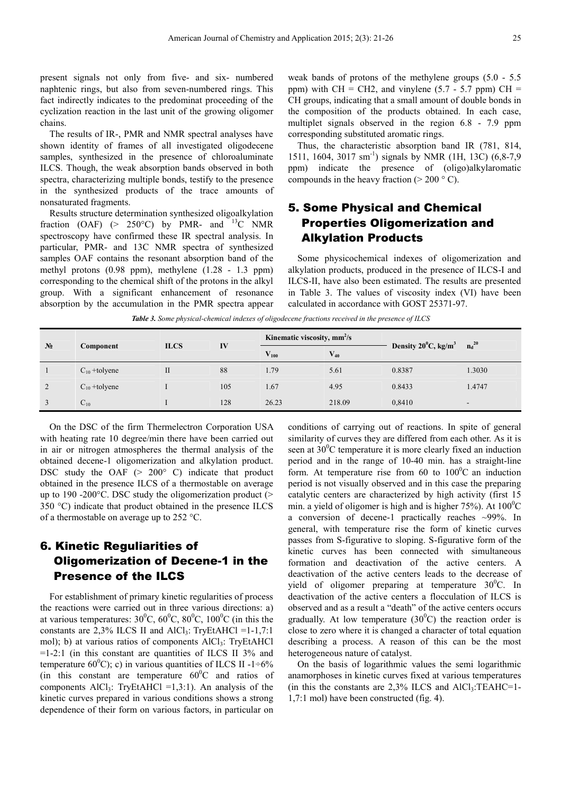present signals not only from five- and six- numbered naphtenic rings, but also from seven-numbered rings. This fact indirectly indicates to the predominat proceeding of the cyclization reaction in the last unit of the growing oligomer chains.

The results of IR-, PMR and NMR spectral analyses have shown identity of frames of all investigated oligodecene samples, synthesized in the presence of chloroaluminate ILCS. Though, the weak absorption bands observed in both spectra, characterizing multiple bonds, testify to the presence in the synthesized products of the trace amounts of nonsaturated fragments.

Results structure determination synthesized oligoalkylation fraction (OAF)  $(> 250^{\circ}C)$  by PMR- and <sup>13</sup>C NMR spectroscopy have confirmed these IR spectral analysis. In particular, PMR- and 13C NMR spectra of synthesized samples OAF contains the resonant absorption band of the methyl protons (0.98 ppm), methylene (1.28 - 1.3 ppm) corresponding to the chemical shift of the protons in the alkyl group. With a significant enhancement of resonance absorption by the accumulation in the PMR spectra appear weak bands of protons of the methylene groups (5.0 - 5.5 ppm) with CH = CH2, and vinylene  $(5.7 - 5.7$  ppm) CH = CH groups, indicating that a small amount of double bonds in the composition of the products obtained. In each case, multiplet signals observed in the region 6.8 - 7.9 ppm corresponding substituted aromatic rings.

Thus, the characteristic absorption band IR (781, 814, 1511, 1604, 3017 sm<sup>-1</sup>) signals by NMR (1H, 13C) (6,8-7,9) ppm) indicate the presence of (oligo)alkylaromatic compounds in the heavy fraction ( $>$  200  $\degree$  C).

# 5. Some Physical and Chemical Properties Oligomerization and Alkylation Products

Some physicochemical indexes of oligomerization and alkylation products, produced in the presence of ILCS-I and ILCS-II, have also been estimated. The results are presented in Table 3. The values of viscosity index (VI) have been calculated in accordance with GOST 25371-97.

| N <sub>2</sub> | Component         | <b>ILCS</b>  | IV  | Kinematic viscosity, mm <sup>2</sup> /s |          |                                           | $n_d^{20}$               |
|----------------|-------------------|--------------|-----|-----------------------------------------|----------|-------------------------------------------|--------------------------|
|                |                   |              |     | $\mathbf{V}_{\mathbf{100}}$             | $V_{40}$ | Density $20^{\circ}$ C, kg/m <sup>3</sup> |                          |
|                | $C_{10}$ +tolyene | $\mathbf{I}$ | 88  | 1.79                                    | 5.61     | 0.8387                                    | 1.3030                   |
| 2              | $C_{10}$ +tolyene |              | 105 | 1.67                                    | 4.95     | 0.8433                                    | 1.4747                   |
|                | $C_{10}$          |              | 128 | 26.23                                   | 218.09   | 0,8410                                    | $\overline{\phantom{a}}$ |

*Table 3. Some physical-chemical indexes of oligodecene fractions received in the presence of ILCS* 

On the DSC of the firm Thermelectron Corporation USA with heating rate 10 degree/min there have been carried out in air or nitrogen atmospheres the thermal analysis of the obtained decene-1 oligomerization and alkylation product. DSC study the OAF  $(> 200^{\circ} \text{ C})$  indicate that product obtained in the presence ILCS of a thermostable on average up to 190 -200 $^{\circ}$ C. DSC study the oligomerization product ( $>$ 350 °C) indicate that product obtained in the presence ILCS of a thermostable on average up to 252 °C.

# 6. Kinetic Reguliarities of Oligomerization of Decene-1 in the Presence of the ILCS

For establishment of primary kinetic regularities of process the reactions were carried out in three various directions: a) at various temperatures:  $30^0C$ ,  $60^0C$ ,  $80^0C$ ,  $100^0C$  (in this the constants are  $2,3\%$  ILCS II and AlCl<sub>3</sub>: TryEtAHCl =1-1,7:1 mol); b) at various ratios of components  $AICI_3$ : TryEtAHCl  $=1-2:1$  (in this constant are quantities of ILCS II 3% and temperature 60<sup>0</sup>C); c) in various quantities of ILCS II -1÷6% (in this constant are temperature  $60^{\circ}$ C and ratios of components  $AICI_3$ : TryEtAHCl =1,3:1). An analysis of the kinetic curves prepared in various conditions shows a strong dependence of their form on various factors, in particular on conditions of carrying out of reactions. In spite of general similarity of curves they are differed from each other. As it is seen at  $30^{\circ}$ C temperature it is more clearly fixed an induction period and in the range of 10-40 min. has a straight-line form. At temperature rise from 60 to  $100^{\circ}$ C an induction period is not visually observed and in this case the preparing catalytic centers are characterized by high activity (first 15 min. a yield of oligomer is high and is higher  $75\%$ ). At  $100\degree$ C a conversion of decene-1 practically reaches  $\sim$ 99%. In general, with temperature rise the form of kinetic curves passes from S-figurative to sloping. S-figurative form of the kinetic curves has been connected with simultaneous formation and deactivation of the active centers. A deactivation of the active centers leads to the decrease of yield of oligomer preparing at temperature  $30^{\circ}$ C. In deactivation of the active centers a flocculation of ILCS is observed and as a result a "death" of the active centers occurs gradually. At low temperature  $(30^0C)$  the reaction order is close to zero where it is changed a character of total equation describing a process. A reason of this can be the most heterogeneous nature of catalyst.

On the basis of logarithmic values the semi logarithmic anamorphoses in kinetic curves fixed at various temperatures (in this the constants are  $2.3\%$  ILCS and AlCl<sub>3</sub>:TEAHC=1-1,7:1 mol) have been constructed (fig. 4).